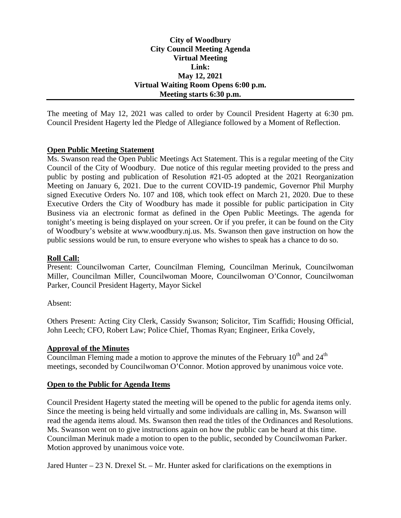# **City of Woodbury City Council Meeting Agenda Virtual Meeting Link: May 12, 2021 Virtual Waiting Room Opens 6:00 p.m. Meeting starts 6:30 p.m.**

The meeting of May 12, 2021 was called to order by Council President Hagerty at 6:30 pm. Council President Hagerty led the Pledge of Allegiance followed by a Moment of Reflection.

# **Open Public Meeting Statement**

Ms. Swanson read the Open Public Meetings Act Statement. This is a regular meeting of the City Council of the City of Woodbury. Due notice of this regular meeting provided to the press and public by posting and publication of Resolution #21-05 adopted at the 2021 Reorganization Meeting on January 6, 2021. Due to the current COVID-19 pandemic, Governor Phil Murphy signed Executive Orders No. 107 and 108, which took effect on March 21, 2020. Due to these Executive Orders the City of Woodbury has made it possible for public participation in City Business via an electronic format as defined in the Open Public Meetings. The agenda for tonight's meeting is being displayed on your screen. Or if you prefer, it can be found on the City of Woodbury's website at www.woodbury.nj.us. Ms. Swanson then gave instruction on how the public sessions would be run, to ensure everyone who wishes to speak has a chance to do so.

# **Roll Call:**

Present: Councilwoman Carter, Councilman Fleming, Councilman Merinuk, Councilwoman Miller, Councilman Miller, Councilwoman Moore, Councilwoman O'Connor, Councilwoman Parker, Council President Hagerty, Mayor Sickel

# Absent:

Others Present: Acting City Clerk, Cassidy Swanson; Solicitor, Tim Scaffidi; Housing Official, John Leech; CFO, Robert Law; Police Chief, Thomas Ryan; Engineer, Erika Covely,

# **Approval of the Minutes**

Councilman Fleming made a motion to approve the minutes of the February  $10^{th}$  and  $24^{th}$ meetings, seconded by Councilwoman O'Connor. Motion approved by unanimous voice vote.

# **Open to the Public for Agenda Items**

Council President Hagerty stated the meeting will be opened to the public for agenda items only. Since the meeting is being held virtually and some individuals are calling in, Ms. Swanson will read the agenda items aloud. Ms. Swanson then read the titles of the Ordinances and Resolutions. Ms. Swanson went on to give instructions again on how the public can be heard at this time. Councilman Merinuk made a motion to open to the public, seconded by Councilwoman Parker. Motion approved by unanimous voice vote.

Jared Hunter – 23 N. Drexel St. – Mr. Hunter asked for clarifications on the exemptions in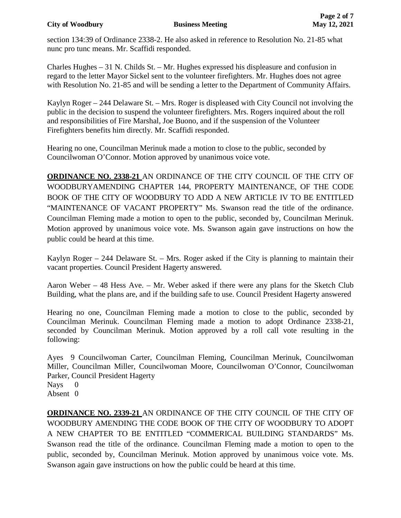# **City of Woodbury Business Meeting May 12, 2021**

section 134:39 of Ordinance 2338-2. He also asked in reference to Resolution No. 21-85 what nunc pro tunc means. Mr. Scaffidi responded.

Charles Hughes – 31 N. Childs St. – Mr. Hughes expressed his displeasure and confusion in regard to the letter Mayor Sickel sent to the volunteer firefighters. Mr. Hughes does not agree with Resolution No. 21-85 and will be sending a letter to the Department of Community Affairs.

Kaylyn Roger – 244 Delaware St. – Mrs. Roger is displeased with City Council not involving the public in the decision to suspend the volunteer firefighters. Mrs. Rogers inquired about the roll and responsibilities of Fire Marshal, Joe Buono, and if the suspension of the Volunteer Firefighters benefits him directly. Mr. Scaffidi responded.

Hearing no one, Councilman Merinuk made a motion to close to the public, seconded by Councilwoman O'Connor. Motion approved by unanimous voice vote.

**ORDINANCE NO. 2338-21** AN ORDINANCE OF THE CITY COUNCIL OF THE CITY OF WOODBURYAMENDING CHAPTER 144, PROPERTY MAINTENANCE, OF THE CODE BOOK OF THE CITY OF WOODBURY TO ADD A NEW ARTICLE IV TO BE ENTITLED "MAINTENANCE OF VACANT PROPERTY" Ms. Swanson read the title of the ordinance. Councilman Fleming made a motion to open to the public, seconded by, Councilman Merinuk. Motion approved by unanimous voice vote. Ms. Swanson again gave instructions on how the public could be heard at this time.

Kaylyn Roger – 244 Delaware St. – Mrs. Roger asked if the City is planning to maintain their vacant properties. Council President Hagerty answered.

Aaron Weber – 48 Hess Ave. – Mr. Weber asked if there were any plans for the Sketch Club Building, what the plans are, and if the building safe to use. Council President Hagerty answered

Hearing no one, Councilman Fleming made a motion to close to the public, seconded by Councilman Merinuk. Councilman Fleming made a motion to adopt Ordinance 2338-21, seconded by Councilman Merinuk. Motion approved by a roll call vote resulting in the following:

Ayes 9 Councilwoman Carter, Councilman Fleming, Councilman Merinuk, Councilwoman Miller, Councilman Miller, Councilwoman Moore, Councilwoman O'Connor, Councilwoman Parker, Council President Hagerty

Nays 0 Absent 0

**ORDINANCE NO. 2339-21** AN ORDINANCE OF THE CITY COUNCIL OF THE CITY OF WOODBURY AMENDING THE CODE BOOK OF THE CITY OF WOODBURY TO ADOPT A NEW CHAPTER TO BE ENTITLED "COMMERICAL BUILDING STANDARDS" Ms. Swanson read the title of the ordinance. Councilman Fleming made a motion to open to the public, seconded by, Councilman Merinuk. Motion approved by unanimous voice vote. Ms. Swanson again gave instructions on how the public could be heard at this time.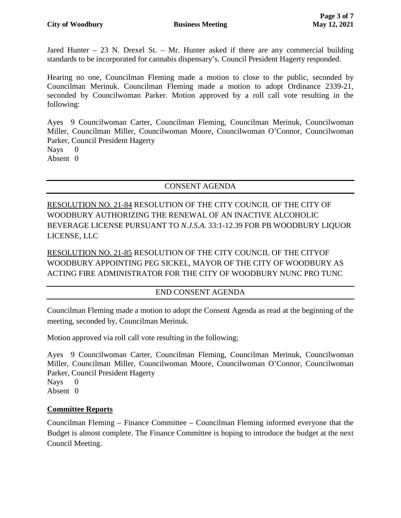Jared Hunter – 23 N. Drexel St. – Mr. Hunter asked if there are any commercial building standards to be incorporated for cannabis dispensary's. Council President Hagerty responded.

Hearing no one, Councilman Fleming made a motion to close to the public, seconded by Councilman Merinuk. Councilman Fleming made a motion to adopt Ordinance 2339-21, seconded by Councilwoman Parker. Motion approved by a roll call vote resulting in the following:

Ayes 9 Councilwoman Carter, Councilman Fleming, Councilman Merinuk, Councilwoman Miller, Councilman Miller, Councilwoman Moore, Councilwoman O'Connor, Councilwoman Parker, Council President Hagerty Nays 0

Absent 0

# CONSENT AGENDA

RESOLUTION NO. 21-84 RESOLUTION OF THE CITY COUNCIL OF THE CITY OF WOODBURY AUTHORIZING THE RENEWAL OF AN INACTIVE ALCOHOLIC BEVERAGE LICENSE PURSUANT TO *N.J.S.A.* 33:1-12.39 FOR PB WOODBURY LIQUOR LICENSE, LLC

RESOLUTION NO. 21-85 RESOLUTION OF THE CITY COUNCIL OF THE CITYOF WOODBURY APPOINTING PEG SICKEL, MAYOR OF THE CITY OF WOODBURY AS ACTING FIRE ADMINISTRATOR FOR THE CITY OF WOODBURY NUNC PRO TUNC

# END CONSENT AGENDA

Councilman Fleming made a motion to adopt the Consent Agenda as read at the beginning of the meeting, seconded by, Councilman Merinuk.

Motion approved via roll call vote resulting in the following;

Ayes 9 Councilwoman Carter, Councilman Fleming, Councilman Merinuk, Councilwoman Miller, Councilman Miller, Councilwoman Moore, Councilwoman O'Connor, Councilwoman Parker, Council President Hagerty Nays 0

Absent 0

# **Committee Reports**

Councilman Fleming – Finance Committee – Councilman Fleming informed everyone that the Budget is almost complete. The Finance Committee is hoping to introduce the budget at the next Council Meeting.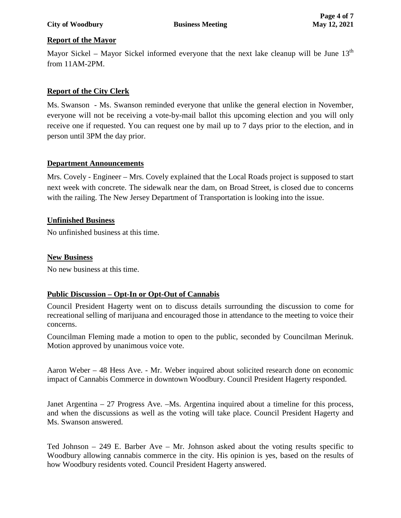### **City of Woodbury Business Meeting May 12, 2021**

# **Report of the Mayor**

Mayor Sickel – Mayor Sickel informed everyone that the next lake cleanup will be June  $13<sup>th</sup>$ from 11AM-2PM.

# **Report of the City Clerk**

Ms. Swanson - Ms. Swanson reminded everyone that unlike the general election in November, everyone will not be receiving a vote-by-mail ballot this upcoming election and you will only receive one if requested. You can request one by mail up to 7 days prior to the election, and in person until 3PM the day prior.

# **Department Announcements**

Mrs. Covely - Engineer – Mrs. Covely explained that the Local Roads project is supposed to start next week with concrete. The sidewalk near the dam, on Broad Street, is closed due to concerns with the railing. The New Jersey Department of Transportation is looking into the issue.

#### **Unfinished Business**

No unfinished business at this time.

### **New Business**

No new business at this time.

# **Public Discussion – Opt-In or Opt-Out of Cannabis**

Council President Hagerty went on to discuss details surrounding the discussion to come for recreational selling of marijuana and encouraged those in attendance to the meeting to voice their concerns.

Councilman Fleming made a motion to open to the public, seconded by Councilman Merinuk. Motion approved by unanimous voice vote.

Aaron Weber – 48 Hess Ave. - Mr. Weber inquired about solicited research done on economic impact of Cannabis Commerce in downtown Woodbury. Council President Hagerty responded.

Janet Argentina – 27 Progress Ave. –Ms. Argentina inquired about a timeline for this process, and when the discussions as well as the voting will take place. Council President Hagerty and Ms. Swanson answered.

Ted Johnson – 249 E. Barber Ave – Mr. Johnson asked about the voting results specific to Woodbury allowing cannabis commerce in the city. His opinion is yes, based on the results of how Woodbury residents voted. Council President Hagerty answered.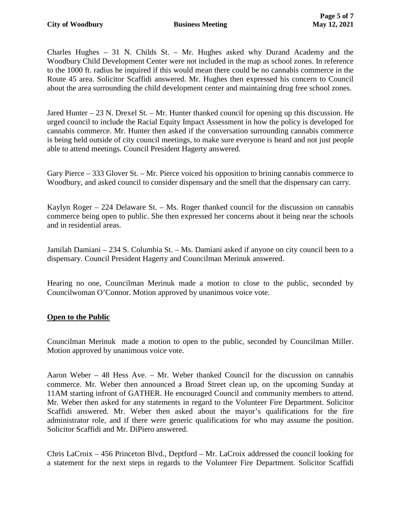Charles Hughes – 31 N. Childs St. – Mr. Hughes asked why Durand Academy and the Woodbury Child Development Center were not included in the map as school zones. In reference to the 1000 ft. radius he inquired if this would mean there could be no cannabis commerce in the Route 45 area. Solicitor Scaffidi answered. Mr. Hughes then expressed his concern to Council about the area surrounding the child development center and maintaining drug free school zones.

Jared Hunter – 23 N. Drexel St. – Mr. Hunter thanked council for opening up this discussion. He urged council to include the Racial Equity Impact Assessment in how the policy is developed for cannabis commerce. Mr. Hunter then asked if the conversation surrounding cannabis commerce is being held outside of city council meetings, to make sure everyone is heard and not just people able to attend meetings. Council President Hagerty answered.

Gary Pierce – 333 Glover St. – Mr. Pierce voiced his opposition to brining cannabis commerce to Woodbury, and asked council to consider dispensary and the smell that the dispensary can carry.

Kaylyn Roger – 224 Delaware St. – Ms. Roger thanked council for the discussion on cannabis commerce being open to public. She then expressed her concerns about it being near the schools and in residential areas.

Jamilah Damiani – 234 S. Columbia St. – Ms. Damiani asked if anyone on city council been to a dispensary. Council President Hagerty and Councilman Merinuk answered.

Hearing no one, Councilman Merinuk made a motion to close to the public, seconded by Councilwoman O'Connor. Motion approved by unanimous voice vote.

# **Open to the Public**

Councilman Merinuk made a motion to open to the public, seconded by Councilman Miller. Motion approved by unanimous voice vote.

Aaron Weber – 48 Hess Ave. – Mr. Weber thanked Council for the discussion on cannabis commerce. Mr. Weber then announced a Broad Street clean up, on the upcoming Sunday at 11AM starting infront of GATHER. He encouraged Council and community members to attend. Mr. Weber then asked for any statements in regard to the Volunteer Fire Department. Solicitor Scaffidi answered. Mr. Weber then asked about the mayor's qualifications for the fire administrator role, and if there were generic qualifications for who may assume the position. Solicitor Scaffidi and Mr. DiPiero answered.

Chris LaCroix – 456 Princeton Blvd., Deptford – Mr. LaCroix addressed the council looking for a statement for the next steps in regards to the Volunteer Fire Department. Solicitor Scaffidi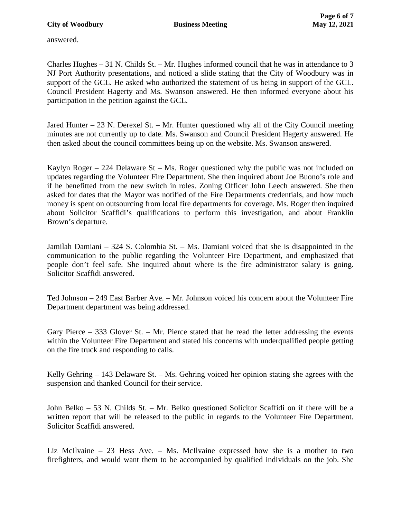answered.

Charles Hughes – 31 N. Childs St. – Mr. Hughes informed council that he was in attendance to 3 NJ Port Authority presentations, and noticed a slide stating that the City of Woodbury was in support of the GCL. He asked who authorized the statement of us being in support of the GCL. Council President Hagerty and Ms. Swanson answered. He then informed everyone about his participation in the petition against the GCL.

Jared Hunter – 23 N. Derexel St. – Mr. Hunter questioned why all of the City Council meeting minutes are not currently up to date. Ms. Swanson and Council President Hagerty answered. He then asked about the council committees being up on the website. Ms. Swanson answered.

Kaylyn Roger – 224 Delaware St – Ms. Roger questioned why the public was not included on updates regarding the Volunteer Fire Department. She then inquired about Joe Buono's role and if he benefitted from the new switch in roles. Zoning Officer John Leech answered. She then asked for dates that the Mayor was notified of the Fire Departments credentials, and how much money is spent on outsourcing from local fire departments for coverage. Ms. Roger then inquired about Solicitor Scaffidi's qualifications to perform this investigation, and about Franklin Brown's departure.

Jamilah Damiani – 324 S. Colombia St. – Ms. Damiani voiced that she is disappointed in the communication to the public regarding the Volunteer Fire Department, and emphasized that people don't feel safe. She inquired about where is the fire administrator salary is going. Solicitor Scaffidi answered.

Ted Johnson – 249 East Barber Ave. – Mr. Johnson voiced his concern about the Volunteer Fire Department department was being addressed.

Gary Pierce – 333 Glover St. – Mr. Pierce stated that he read the letter addressing the events within the Volunteer Fire Department and stated his concerns with underqualified people getting on the fire truck and responding to calls.

Kelly Gehring – 143 Delaware St. – Ms. Gehring voiced her opinion stating she agrees with the suspension and thanked Council for their service.

John Belko – 53 N. Childs St. – Mr. Belko questioned Solicitor Scaffidi on if there will be a written report that will be released to the public in regards to the Volunteer Fire Department. Solicitor Scaffidi answered.

Liz McIlvaine – 23 Hess Ave. – Ms. McIlvaine expressed how she is a mother to two firefighters, and would want them to be accompanied by qualified individuals on the job. She